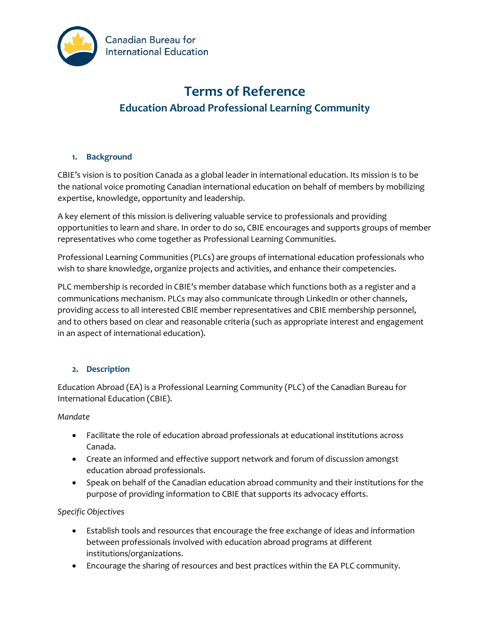

# **Terms of Reference Education Abroad Professional Learning Community**

# **1. Background**

CBIE's vision is to position Canada as a global leader in international education. Its mission is to be the national voice promoting Canadian international education on behalf of members by mobilizing expertise, knowledge, opportunity and leadership.

A key element of this mission is delivering valuable service to professionals and providing opportunities to learn and share. In order to do so, CBIE encourages and supports groups of member representatives who come together as Professional Learning Communities.

Professional Learning Communities (PLCs) are groups of international education professionals who wish to share knowledge, organize projects and activities, and enhance their competencies.

PLC membership is recorded in CBIE's member database which functions both as a register and a communications mechanism. PLCs may also communicate through LinkedIn or other channels, providing access to all interested CBIE member representatives and CBIE membership personnel, and to others based on clear and reasonable criteria (such as appropriate interest and engagement in an aspect of international education).

## **2. Description**

Education Abroad (EA) is a Professional Learning Community (PLC) of the Canadian Bureau for International Education (CBIE).

## *Mandate*

- Facilitate the role of education abroad professionals at educational institutions across Canada.
- Create an informed and effective support network and forum of discussion amongst education abroad professionals.
- Speak on behalf of the Canadian education abroad community and their institutions for the purp0se of providing information to CBIE that supports its advocacy efforts.

## *Specific Objectives*

- Establish tools and resources that encourage the free exchange of ideas and information between professionals involved with education abroad programs at different institutions/organizations.
- Encourage the sharing of resources and best practices within the EA PLC community.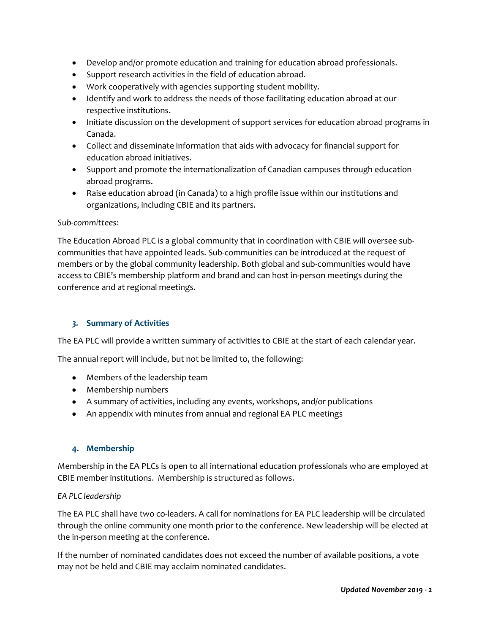- Develop and/or promote education and training for education abroad professionals.
- Support research activities in the field of education abroad.
- Work cooperatively with agencies supporting student mobility.
- Identify and work to address the needs of those facilitating education abroad at our respective institutions.
- Initiate discussion on the development of support services for education abroad programs in Canada.
- Collect and disseminate information that aids with advocacy for financial support for education abroad initiatives.
- Support and promote the internationalization of Canadian campuses through education abroad programs.
- Raise education abroad (in Canada) to a high profile issue within our institutions and organizations, including CBIE and its partners.

#### *Sub-committees:*

The Education Abroad PLC is a global community that in coordination with CBIE will oversee subcommunities that have appointed leads. Sub-communities can be introduced at the request of members or by the global community leadership. Both global and sub-communities would have access to CBIE's membership platform and brand and can host in-person meetings during the conference and at regional meetings.

## *3.* **Summary of Activities**

The EA PLC will provide a written summary of activities to CBIE at the start of each calendar year.

The annual report will include, but not be limited to, the following:

- Members of the leadership team
- Membership numbers
- A summary of activities, including any events, workshops, and/or publications
- An appendix with minutes from annual and regional EA PLC meetings

#### **4. Membership**

Membership in the EA PLCs is open to all international education professionals who are employed at CBIE member institutions. Membership is structured as follows.

#### *EA PLC leadership*

The EA PLC shall have two co-leaders. A call for nominations for EA PLC leadership will be circulated through the online community one month prior to the conference. New leadership will be elected at the in-person meeting at the conference.

If the number of nominated candidates does not exceed the number of available positions, a vote may not be held and CBIE may acclaim nominated candidates.